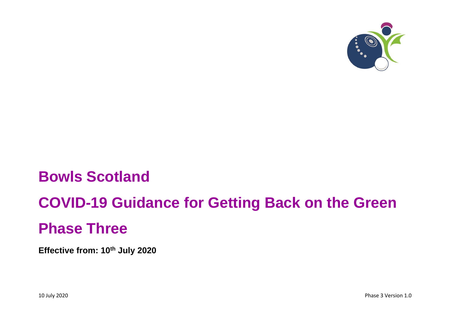

# **Bowls Scotland**

# **COVID-19 Guidance for Getting Back on the Green**

# **Phase Three**

**Effective from: 10th July 2020**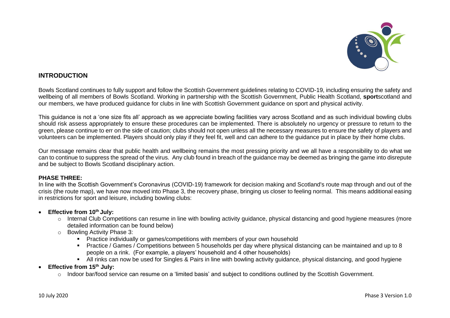

# **INTRODUCTION**

Bowls Scotland continues to fully support and follow the Scottish Government guidelines relating to COVID-19, including ensuring the safety and wellbeing of all members of Bowls Scotland. Working in partnership with the Scottish Government, Public Health Scotland, **sport**scotland and our members, we have produced guidance for clubs in line with Scottish Government guidance on sport and physical activity.

This guidance is not a 'one size fits all' approach as we appreciate bowling facilities vary across Scotland and as such individual bowling clubs should risk assess appropriately to ensure these procedures can be implemented. There is absolutely no urgency or pressure to return to the green, please continue to err on the side of caution; clubs should not open unless all the necessary measures to ensure the safety of players and volunteers can be implemented. Players should only play if they feel fit, well and can adhere to the guidance put in place by their home clubs.

Our message remains clear that public health and wellbeing remains the most pressing priority and we all have a responsibility to do what we can to continue to suppress the spread of the virus. Any club found in breach of the guidance may be deemed as bringing the game into disrepute and be subject to Bowls Scotland disciplinary action.

#### **PHASE THREE:**

In line with the Scottish Government's Coronavirus (COVID-19) framework for decision making and Scotland's route map through and out of the crisis (the route map), we have now moved into Phase 3, the recovery phase, bringing us closer to feeling normal. This means additional easing in restrictions for sport and leisure, including bowling clubs:

### • **Effective from 10th July:**

- o Internal Club Competitions can resume in line with bowling activity guidance, physical distancing and good hygiene measures (more detailed information can be found below)
- o Bowling Activity Phase 3:
	- Practice individually or games/competitions with members of your own household
	- Practice / Games / Competitions between 5 households per day where physical distancing can be maintained and up to 8 people on a rink. (For example, a players' household and 4 other households)
	- All rinks can now be used for Singles & Pairs in line with bowling activity guidance, physical distancing, and good hygiene

• **Effective from 15th July:**

 $\circ$  Indoor bar/food service can resume on a 'limited basis' and subject to conditions outlined by the Scottish Government.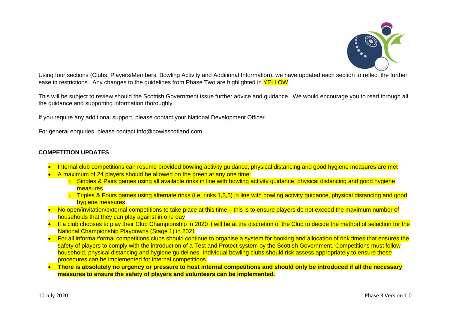

Using four sections (Clubs, Players/Members, Bowling Activity and Additional Information), we have updated each section to reflect the further ease in restrictions. Any changes to the guidelines from Phase Two are highlighted in **YELLOW** 

This will be subject to review should the Scottish Government issue further advice and guidance. We would encourage you to read through all the guidance and supporting information thoroughly.

If you require any additional support, please contact your National Development Officer.

For general enquiries, please contact info@bowlsscotland.com

## **COMPETITION UPDATES**

- Internal club competitions can resume provided bowling activity guidance, physical distancing and good hygiene measures are met
- A maximum of 24 players should be allowed on the green at any one time:
	- o Singles & Pairs games using all available rinks in line with bowling activity guidance, physical distancing and good hygiene measures
	- $\circ$  Triples & Fours games using alternate rinks (i.e. rinks 1,3,5) in line with bowling activity guidance, physical distancing and good hygiene measures
- No open/invitation/external competitions to take place at this time this is to ensure players do not exceed the maximum number of households that they can play against in one day
- If a club chooses to play their Club Championship in 2020 it will be at the discretion of the Club to decide the method of selection for the National Championship Playdowns (Stage 1) in 2021
- For all informal/formal competitions clubs should continue to organise a system for booking and allocation of rink times that ensures the safety of players to comply with the introduction of a Test and Protect system by the Scottish Government. Competitions must follow household, physical distancing and hygiene guidelines. Individual bowling clubs should risk assess appropriately to ensure these procedures can be implemented for internal competitions.
- **There is absolutely no urgency or pressure to host internal competitions and should only be introduced if all the necessary measures to ensure the safety of players and volunteers can be implemented.**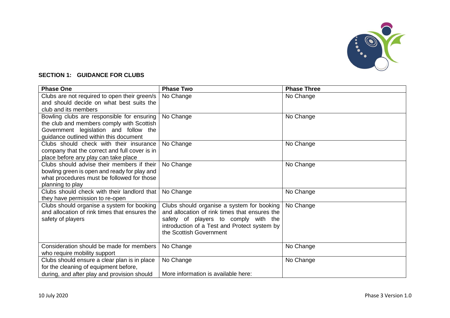

# **SECTION 1: GUIDANCE FOR CLUBS**

| <b>Phase One</b>                              | <b>Phase Two</b>                              | <b>Phase Three</b> |
|-----------------------------------------------|-----------------------------------------------|--------------------|
| Clubs are not required to open their green/s  | No Change                                     | No Change          |
| and should decide on what best suits the      |                                               |                    |
| club and its members                          |                                               |                    |
| Bowling clubs are responsible for ensuring    | No Change                                     | No Change          |
| the club and members comply with Scottish     |                                               |                    |
| Government legislation and follow the         |                                               |                    |
| guidance outlined within this document        |                                               |                    |
| Clubs should check with their insurance       | No Change                                     | No Change          |
| company that the correct and full cover is in |                                               |                    |
| place before any play can take place          |                                               |                    |
| Clubs should advise their members if their    | No Change                                     | No Change          |
| bowling green is open and ready for play and  |                                               |                    |
| what procedures must be followed for those    |                                               |                    |
| planning to play                              |                                               |                    |
| Clubs should check with their landlord that   | No Change                                     | No Change          |
| they have permission to re-open               |                                               |                    |
| Clubs should organise a system for booking    | Clubs should organise a system for booking    | No Change          |
| and allocation of rink times that ensures the | and allocation of rink times that ensures the |                    |
| safety of players                             | safety of players to comply with the          |                    |
|                                               | introduction of a Test and Protect system by  |                    |
|                                               | the Scottish Government                       |                    |
| Consideration should be made for members      | No Change                                     | No Change          |
| who require mobility support                  |                                               |                    |
| Clubs should ensure a clear plan is in place  | No Change                                     | No Change          |
| for the cleaning of equipment before,         |                                               |                    |
| during, and after play and provision should   | More information is available here:           |                    |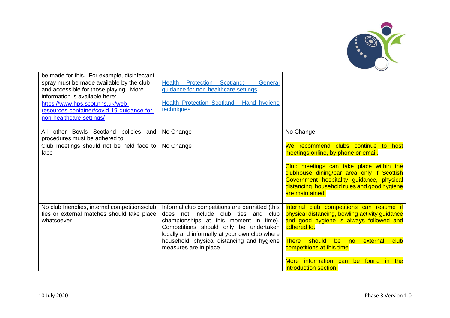

| be made for this. For example, disinfectant<br>spray must be made available by the club<br>and accessible for those playing. More<br>information is available here:<br>https://www.hps.scot.nhs.uk/web-<br>resources-container/covid-19-quidance-for-<br>non-healthcare-settings/ | Health Protection Scotland:<br>General<br>guidance for non-healthcare settings<br><b>Health Protection Scotland: Hand hygiene</b><br>techniques                                                                                                                                                   |                                                                                                                                                                                                                                                                                                              |
|-----------------------------------------------------------------------------------------------------------------------------------------------------------------------------------------------------------------------------------------------------------------------------------|---------------------------------------------------------------------------------------------------------------------------------------------------------------------------------------------------------------------------------------------------------------------------------------------------|--------------------------------------------------------------------------------------------------------------------------------------------------------------------------------------------------------------------------------------------------------------------------------------------------------------|
| other Bowls Scotland policies<br>and<br>All<br>procedures must be adhered to                                                                                                                                                                                                      | No Change                                                                                                                                                                                                                                                                                         | No Change                                                                                                                                                                                                                                                                                                    |
| Club meetings should not be held face to<br>face                                                                                                                                                                                                                                  | No Change                                                                                                                                                                                                                                                                                         | We recommend clubs continue to<br>host<br>meetings online, by phone or email.<br>Club meetings can take place within the<br>clubhouse dining/bar area only if Scottish<br>Government hospitality guidance, physical<br>distancing, household rules and good hygiene<br>are maintained.                       |
| No club friendlies, internal competitions/club<br>ties or external matches should take place<br>whatsoever                                                                                                                                                                        | Informal club competitions are permitted (this<br>does not include club ties and club<br>championships at this moment in time).<br>Competitions should only be undertaken<br>locally and informally at your own club where<br>household, physical distancing and hygiene<br>measures are in place | Internal club competitions can resume if<br>physical distancing, bowling activity guidance<br>and good hygiene is always followed and<br>adhered to.<br><b>There</b><br>should<br>club<br>be<br>external<br>no<br>competitions at this time<br>More information can be found in the<br>introduction section. |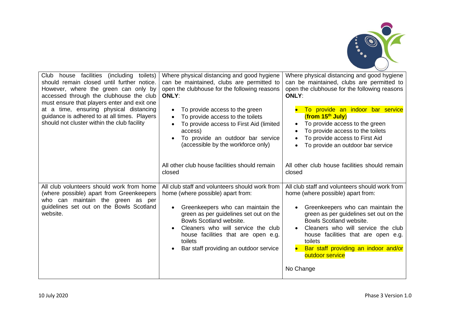

| facilities<br>Club<br>(including<br>toilets)<br>house<br>should remain closed until further notice.<br>However, where the green can only by<br>accessed through the clubhouse the club<br>must ensure that players enter and exit one<br>at a time, ensuring physical distancing<br>guidance is adhered to at all times. Players<br>should not cluster within the club facility | Where physical distancing and good hygiene<br>can be maintained, clubs are permitted to<br>open the clubhouse for the following reasons<br><b>ONLY:</b><br>To provide access to the green<br>$\bullet$<br>To provide access to the toilets<br>$\bullet$<br>To provide access to First Aid (limited<br>access)<br>To provide an outdoor bar service<br>(accessible by the workforce only)<br>All other club house facilities should remain<br>closed | Where physical distancing and good hygiene<br>can be maintained, clubs are permitted to<br>open the clubhouse for the following reasons<br><b>ONLY:</b><br>To provide an indoor bar service<br>$($ from 15 <sup>th</sup> July)<br>To provide access to the green<br>To provide access to the toilets<br>To provide access to First Aid<br>To provide an outdoor bar service<br>All other club house facilities should remain<br>closed |
|---------------------------------------------------------------------------------------------------------------------------------------------------------------------------------------------------------------------------------------------------------------------------------------------------------------------------------------------------------------------------------|-----------------------------------------------------------------------------------------------------------------------------------------------------------------------------------------------------------------------------------------------------------------------------------------------------------------------------------------------------------------------------------------------------------------------------------------------------|----------------------------------------------------------------------------------------------------------------------------------------------------------------------------------------------------------------------------------------------------------------------------------------------------------------------------------------------------------------------------------------------------------------------------------------|
| All club volunteers should work from home<br>(where possible) apart from Greenkeepers<br>who can maintain the green as per<br>guidelines set out on the Bowls Scotland<br>website.                                                                                                                                                                                              | All club staff and volunteers should work from<br>home (where possible) apart from:<br>Greenkeepers who can maintain the<br>green as per guidelines set out on the<br>Bowls Scotland website.<br>Cleaners who will service the club<br>house facilities that are open e.g.<br>toilets<br>Bar staff providing an outdoor service                                                                                                                     | All club staff and volunteers should work from<br>home (where possible) apart from:<br>Greenkeepers who can maintain the<br>green as per guidelines set out on the<br>Bowls Scotland website.<br>Cleaners who will service the club<br>$\bullet$<br>house facilities that are open e.g.<br>toilets<br>Bar staff providing an indoor and/or<br>outdoor service<br>No Change                                                             |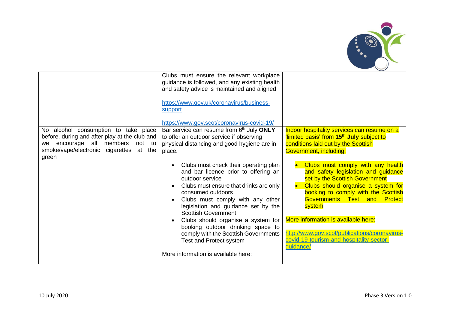

|                                                                                         | Clubs must ensure the relevant workplace<br>guidance is followed, and any existing health<br>and safety advice is maintained and aligned<br>https://www.gov.uk/coronavirus/business-<br>support<br>https://www.gov.scot/coronavirus-covid-19/                                                                                                                                                                                                                 |                                                                                                                                                                                                                                                                                                                                                                                    |
|-----------------------------------------------------------------------------------------|---------------------------------------------------------------------------------------------------------------------------------------------------------------------------------------------------------------------------------------------------------------------------------------------------------------------------------------------------------------------------------------------------------------------------------------------------------------|------------------------------------------------------------------------------------------------------------------------------------------------------------------------------------------------------------------------------------------------------------------------------------------------------------------------------------------------------------------------------------|
| No alcohol consumption to take place                                                    | Bar service can resume from 6th July ONLY                                                                                                                                                                                                                                                                                                                                                                                                                     | Indoor hospitality services can resume on a                                                                                                                                                                                                                                                                                                                                        |
| before, during and after play at the club and                                           | to offer an outdoor service if observing                                                                                                                                                                                                                                                                                                                                                                                                                      | limited basis' from 15 <sup>th</sup> July subject to                                                                                                                                                                                                                                                                                                                               |
| encourage all<br>members<br>not to<br>we.<br>smoke/vape/electronic cigarettes<br>at the | physical distancing and good hygiene are in                                                                                                                                                                                                                                                                                                                                                                                                                   | conditions laid out by the Scottish                                                                                                                                                                                                                                                                                                                                                |
| green                                                                                   | place.                                                                                                                                                                                                                                                                                                                                                                                                                                                        | Government, including:                                                                                                                                                                                                                                                                                                                                                             |
|                                                                                         | Clubs must check their operating plan<br>and bar licence prior to offering an<br>outdoor service<br>Clubs must ensure that drinks are only<br>consumed outdoors<br>Clubs must comply with any other<br>legislation and guidance set by the<br><b>Scottish Government</b><br>Clubs should organise a system for<br>booking outdoor drinking space to<br>comply with the Scottish Governments<br>Test and Protect system<br>More information is available here: | Clubs must comply with any health<br>and safety legislation and guidance<br>set by the Scottish Government<br>Clubs should organise a system for<br>booking to comply with the Scottish<br>Governments Test and Protect<br>system<br>More information is available here:<br>http://www.gov.scot/publications/coronavirus-<br>covid-19-tourism-and-hospitality-sector-<br>quidance/ |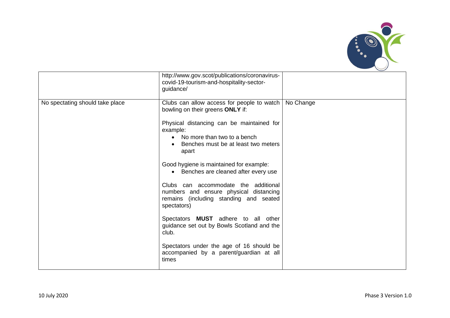

|                                 | http://www.gov.scot/publications/coronavirus-<br>covid-19-tourism-and-hospitality-sector-<br>guidance/                                  |           |
|---------------------------------|-----------------------------------------------------------------------------------------------------------------------------------------|-----------|
| No spectating should take place | Clubs can allow access for people to watch<br>bowling on their greens ONLY if:                                                          | No Change |
|                                 | Physical distancing can be maintained for<br>example:<br>• No more than two to a bench<br>Benches must be at least two meters<br>apart  |           |
|                                 | Good hygiene is maintained for example:<br>• Benches are cleaned after every use                                                        |           |
|                                 | Clubs can accommodate the additional<br>numbers and ensure physical distancing<br>remains (including standing and seated<br>spectators) |           |
|                                 | Spectators MUST adhere to all other<br>guidance set out by Bowls Scotland and the<br>club.                                              |           |
|                                 | Spectators under the age of 16 should be<br>accompanied by a parent/guardian at all<br>times                                            |           |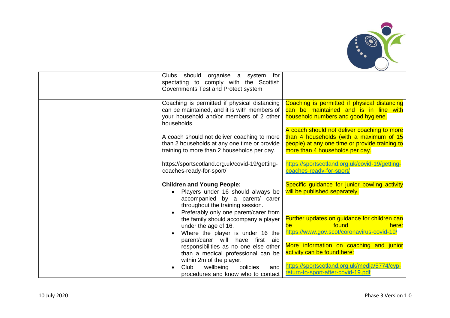

| organise a system<br>Clubs should<br>for<br>spectating to comply with the Scottish<br>Governments Test and Protect system                                                             |                                                                                                                                                                             |
|---------------------------------------------------------------------------------------------------------------------------------------------------------------------------------------|-----------------------------------------------------------------------------------------------------------------------------------------------------------------------------|
| Coaching is permitted if physical distancing<br>can be maintained, and it is with members of<br>your household and/or members of 2 other<br>households.                               | Coaching is permitted if physical distancing<br>can be maintained and is in line with<br>household numbers and good hygiene.                                                |
| A coach should not deliver coaching to more<br>than 2 households at any one time or provide<br>training to more than 2 households per day.                                            | A coach should not deliver coaching to more<br>than 4 households (with a maximum of 15<br>people) at any one time or provide training to<br>more than 4 households per day. |
| https://sportscotland.org.uk/covid-19/getting-<br>coaches-ready-for-sport/                                                                                                            | https://sportscotland.org.uk/covid-19/getting-<br>coaches-ready-for-sport/                                                                                                  |
| <b>Children and Young People:</b><br>Players under 16 should always be<br>accompanied by a parent/ carer<br>throughout the training session.<br>Preferably only one parent/carer from | Specific guidance for junior bowling activity<br>will be published separately.                                                                                              |
| the family should accompany a player<br>under the age of 16.<br>Where the player is under 16 the<br>parent/carer will have first aid                                                  | Further updates on guidance for children can<br>found<br>here:<br>be<br>https://www.gov.scot/coronavirus-covid-19/                                                          |
| responsibilities as no one else other<br>than a medical professional can be<br>within 2m of the player.                                                                               | More information on coaching and junior<br>activity can be found here:<br>https://sportscotland.org.uk/media/5774/cyp-                                                      |
| Club<br>wellbeing<br>policies<br>and<br>procedures and know who to contact                                                                                                            | return-to-sport-after-covid-19.pdf                                                                                                                                          |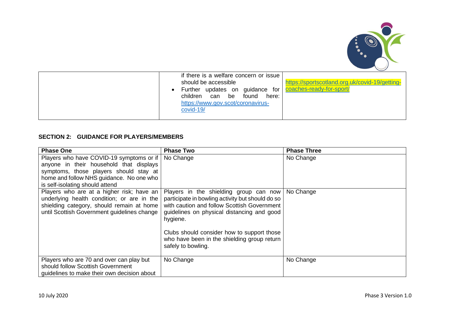

# **SECTION 2: GUIDANCE FOR PLAYERS/MEMBERS**

| <b>Phase One</b>                                                                                                                                                                                               | <b>Phase Two</b>                                                                                                                                                                                                                                                                                                       | <b>Phase Three</b> |
|----------------------------------------------------------------------------------------------------------------------------------------------------------------------------------------------------------------|------------------------------------------------------------------------------------------------------------------------------------------------------------------------------------------------------------------------------------------------------------------------------------------------------------------------|--------------------|
| Players who have COVID-19 symptoms or if  <br>anyone in their household that displays<br>symptoms, those players should stay at<br>home and follow NHS guidance. No one who<br>is self-isolating should attend | No Change                                                                                                                                                                                                                                                                                                              | No Change          |
| Players who are at a higher risk; have an<br>underlying health condition; or are in the<br>shielding category, should remain at home<br>until Scottish Government guidelines change                            | Players in the shielding group can now<br>participate in bowling activity but should do so<br>with caution and follow Scottish Government<br>guidelines on physical distancing and good<br>hygiene.<br>Clubs should consider how to support those<br>who have been in the shielding group return<br>safely to bowling. | No Change          |
| Players who are 70 and over can play but<br>should follow Scottish Government<br>guidelines to make their own decision about                                                                                   | No Change                                                                                                                                                                                                                                                                                                              | No Change          |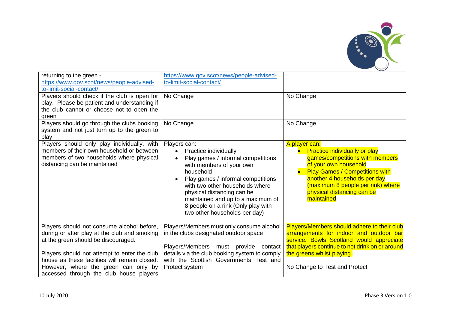

| returning to the green -<br>https://www.gov.scot/news/people-advised-<br>to-limit-social-contact/                                                                                                                                                                                                                     | https://www.gov.scot/news/people-advised-<br>to-limit-social-contact/                                                                                                                                                                                                                                                                                             |                                                                                                                                                                                                                                                                                          |
|-----------------------------------------------------------------------------------------------------------------------------------------------------------------------------------------------------------------------------------------------------------------------------------------------------------------------|-------------------------------------------------------------------------------------------------------------------------------------------------------------------------------------------------------------------------------------------------------------------------------------------------------------------------------------------------------------------|------------------------------------------------------------------------------------------------------------------------------------------------------------------------------------------------------------------------------------------------------------------------------------------|
| Players should check if the club is open for<br>play. Please be patient and understanding if<br>the club cannot or choose not to open the<br>green                                                                                                                                                                    | No Change                                                                                                                                                                                                                                                                                                                                                         | No Change                                                                                                                                                                                                                                                                                |
| Players should go through the clubs booking<br>system and not just turn up to the green to<br>play                                                                                                                                                                                                                    | No Change                                                                                                                                                                                                                                                                                                                                                         | No Change                                                                                                                                                                                                                                                                                |
| Players should only play individually, with<br>members of their own household or between<br>members of two households where physical<br>distancing can be maintained                                                                                                                                                  | Players can:<br>Practice individually<br>$\bullet$<br>Play games / informal competitions<br>$\bullet$<br>with members of your own<br>household<br>Play games / informal competitions<br>with two other households where<br>physical distancing can be<br>maintained and up to a maximum of<br>8 people on a rink (Only play with<br>two other households per day) | A player can:<br><b>Practice individually or play</b><br>$\bullet$<br>games/competitions with members<br>of your own household<br><b>Play Games / Competitions with</b><br>another 4 households per day<br>(maximum 8 people per rink) where<br>physical distancing can be<br>maintained |
| Players should not consume alcohol before,<br>during or after play at the club and smoking<br>at the green should be discouraged.<br>Players should not attempt to enter the club<br>house as these facilities will remain closed.<br>However, where the green can only by<br>accessed through the club house players | Players/Members must only consume alcohol<br>in the clubs designated outdoor space<br>Players/Members must provide contact<br>details via the club booking system to comply<br>with the Scottish Governments Test and<br>Protect system                                                                                                                           | Players/Members should adhere to their club<br>arrangements for indoor and outdoor bar<br>service. Bowls Scotland would appreciate<br>that players continue to not drink on or around<br>the greens whilst playing.<br>No Change to Test and Protect                                     |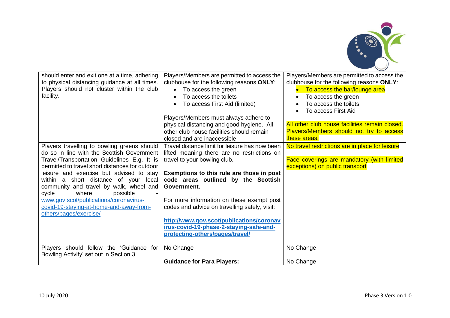

| should enter and exit one at a time, adhering<br>to physical distancing guidance at all times.<br>Players should not cluster within the club<br>facility.<br>Players travelling to bowling greens should | Players/Members are permitted to access the<br>clubhouse for the following reasons ONLY:<br>To access the green<br>$\bullet$<br>To access the toilets<br>To access First Aid (limited)<br>Players/Members must always adhere to<br>physical distancing and good hygiene. All<br>other club house facilities should remain<br>closed and are inaccessible<br>Travel distance limit for leisure has now been | Players/Members are permitted to access the<br>clubhouse for the following reasons ONLY:<br>To access the bar/lounge area<br>$\bullet$<br>To access the green<br>$\bullet$<br>To access the toilets<br>To access First Aid<br>All other club house facilities remain closed.<br>Players/Members should not try to access<br>these areas.<br>No travel restrictions are in place for leisure |
|----------------------------------------------------------------------------------------------------------------------------------------------------------------------------------------------------------|------------------------------------------------------------------------------------------------------------------------------------------------------------------------------------------------------------------------------------------------------------------------------------------------------------------------------------------------------------------------------------------------------------|---------------------------------------------------------------------------------------------------------------------------------------------------------------------------------------------------------------------------------------------------------------------------------------------------------------------------------------------------------------------------------------------|
| do so in line with the Scottish Government                                                                                                                                                               | lifted meaning there are no restrictions on                                                                                                                                                                                                                                                                                                                                                                |                                                                                                                                                                                                                                                                                                                                                                                             |
| Travel/Transportation Guidelines E.g. It is<br>permitted to travel short distances for outdoor<br>leisure and exercise but advised to stay                                                               | travel to your bowling club.<br>Exemptions to this rule are those in post                                                                                                                                                                                                                                                                                                                                  | Face coverings are mandatory (with limited<br>exceptions) on public transport                                                                                                                                                                                                                                                                                                               |
| within a short distance of your local<br>community and travel by walk, wheel and<br>cycle<br>where<br>possible                                                                                           | code areas outlined by the Scottish<br>Government.                                                                                                                                                                                                                                                                                                                                                         |                                                                                                                                                                                                                                                                                                                                                                                             |
| www.gov.scot/publications/coronavirus-<br>covid-19-staying-at-home-and-away-from-<br>others/pages/exercise/                                                                                              | For more information on these exempt post<br>codes and advice on travelling safely, visit:                                                                                                                                                                                                                                                                                                                 |                                                                                                                                                                                                                                                                                                                                                                                             |
|                                                                                                                                                                                                          | http://www.gov.scot/publications/coronav<br>irus-covid-19-phase-2-staying-safe-and-<br>protecting-others/pages/travel/                                                                                                                                                                                                                                                                                     |                                                                                                                                                                                                                                                                                                                                                                                             |
| Players should follow the 'Guidance<br>for<br>Bowling Activity' set out in Section 3                                                                                                                     | No Change                                                                                                                                                                                                                                                                                                                                                                                                  | No Change                                                                                                                                                                                                                                                                                                                                                                                   |
|                                                                                                                                                                                                          | <b>Guidance for Para Players:</b>                                                                                                                                                                                                                                                                                                                                                                          | No Change                                                                                                                                                                                                                                                                                                                                                                                   |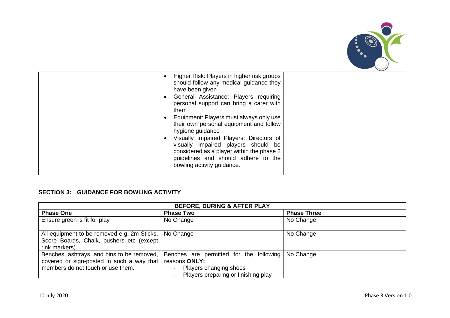

| Higher Risk: Players in higher risk groups<br>$\bullet$<br>should follow any medical guidance they<br>have been given<br>General Assistance: Players requiring<br>$\bullet$<br>personal support can bring a carer with<br>them<br>Equipment: Players must always only use<br>their own personal equipment and follow<br>hygiene guidance<br>Visually Impaired Players: Directors of<br>$\bullet$<br>visually impaired players should be<br>considered as a player within the phase 2<br>guidelines and should adhere to the<br>bowling activity guidance. |  |
|-----------------------------------------------------------------------------------------------------------------------------------------------------------------------------------------------------------------------------------------------------------------------------------------------------------------------------------------------------------------------------------------------------------------------------------------------------------------------------------------------------------------------------------------------------------|--|
|                                                                                                                                                                                                                                                                                                                                                                                                                                                                                                                                                           |  |

## **SECTION 3: GUIDANCE FOR BOWLING ACTIVITY**

| <b>BEFORE, DURING &amp; AFTER PLAY</b>                                                                                       |                                                                                                                           |                    |
|------------------------------------------------------------------------------------------------------------------------------|---------------------------------------------------------------------------------------------------------------------------|--------------------|
| <b>Phase One</b>                                                                                                             | <b>Phase Two</b>                                                                                                          | <b>Phase Three</b> |
| Ensure green is fit for play                                                                                                 | No Change                                                                                                                 | No Change          |
| All equipment to be removed e.g. 2m Sticks,   No Change<br>Score Boards, Chalk, pushers etc (except<br>rink markers)         |                                                                                                                           | No Change          |
| Benches, ashtrays, and bins to be removed,<br>covered or sign-posted in such a way that<br>members do not touch or use them. | Benches are permitted for the following<br>reasons ONLY:<br>Players changing shoes<br>Players preparing or finishing play | No Change          |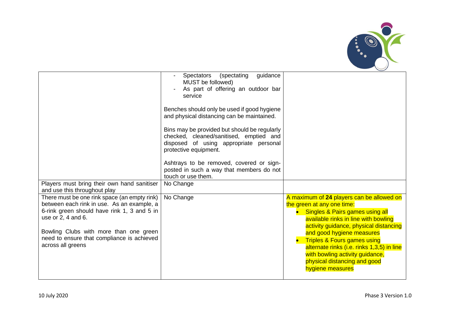

| guidance<br><b>Spectators</b><br>(spectating<br>MUST be followed)<br>As part of offering an outdoor bar<br>service                                         |                                                                                                                                                                                                                                                                                                                                                                                                            |
|------------------------------------------------------------------------------------------------------------------------------------------------------------|------------------------------------------------------------------------------------------------------------------------------------------------------------------------------------------------------------------------------------------------------------------------------------------------------------------------------------------------------------------------------------------------------------|
| and physical distancing can be maintained.                                                                                                                 |                                                                                                                                                                                                                                                                                                                                                                                                            |
| Bins may be provided but should be regularly<br>checked, cleaned/sanitised, emptied and<br>disposed of using appropriate personal<br>protective equipment. |                                                                                                                                                                                                                                                                                                                                                                                                            |
| Ashtrays to be removed, covered or sign-<br>posted in such a way that members do not                                                                       |                                                                                                                                                                                                                                                                                                                                                                                                            |
| No Change                                                                                                                                                  |                                                                                                                                                                                                                                                                                                                                                                                                            |
| No Change                                                                                                                                                  | A maximum of 24 players can be allowed on<br>the green at any one time:<br>• Singles & Pairs games using all<br>available rinks in line with bowling<br>activity guidance, physical distancing<br>and good hygiene measures<br><b>Triples &amp; Fours games using</b><br>alternate rinks (i.e. rinks 1,3,5) in line<br>with bowling activity guidance,<br>physical distancing and good<br>hygiene measures |
|                                                                                                                                                            | Benches should only be used if good hygiene<br>touch or use them.                                                                                                                                                                                                                                                                                                                                          |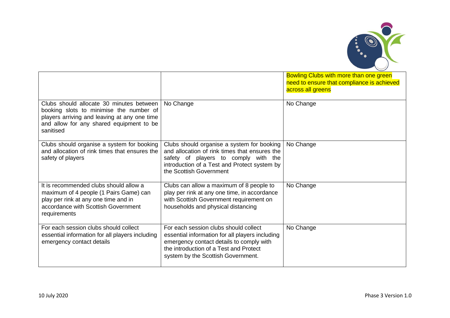

|                                                                                                                                                                                              |                                                                                                                                                                                                                      | Bowling Clubs with more than one green<br>need to ensure that compliance is achieved<br>across all greens |
|----------------------------------------------------------------------------------------------------------------------------------------------------------------------------------------------|----------------------------------------------------------------------------------------------------------------------------------------------------------------------------------------------------------------------|-----------------------------------------------------------------------------------------------------------|
| Clubs should allocate 30 minutes between<br>booking slots to minimise the number of<br>players arriving and leaving at any one time<br>and allow for any shared equipment to be<br>sanitised | No Change                                                                                                                                                                                                            | No Change                                                                                                 |
| Clubs should organise a system for booking<br>and allocation of rink times that ensures the<br>safety of players                                                                             | Clubs should organise a system for booking<br>and allocation of rink times that ensures the<br>safety of players to comply with the<br>introduction of a Test and Protect system by<br>the Scottish Government       | No Change                                                                                                 |
| It is recommended clubs should allow a<br>maximum of 4 people (1 Pairs Game) can<br>play per rink at any one time and in<br>accordance with Scottish Government<br>requirements              | Clubs can allow a maximum of 8 people to<br>play per rink at any one time, in accordance<br>with Scottish Government requirement on<br>households and physical distancing                                            | No Change                                                                                                 |
| For each session clubs should collect<br>essential information for all players including<br>emergency contact details                                                                        | For each session clubs should collect<br>essential information for all players including<br>emergency contact details to comply with<br>the introduction of a Test and Protect<br>system by the Scottish Government. | No Change                                                                                                 |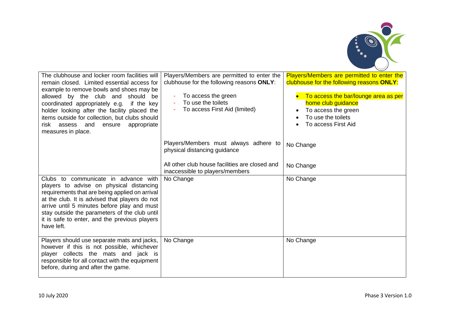

| The clubhouse and locker room facilities will<br>remain closed. Limited essential access for<br>example to remove bowls and shoes may be<br>allowed by the club and should be<br>coordinated appropriately e.g.<br>if the key<br>holder looking after the facility placed the<br>items outside for collection, but clubs should<br>risk assess and<br>ensure<br>appropriate<br>measures in place. | Players/Members are permitted to enter the<br>clubhouse for the following reasons ONLY:<br>To access the green<br>To use the toilets<br>To access First Aid (limited) | Players/Members are permitted to enter the<br>clubhouse for the following reasons ONLY:<br>To access the bar/lounge area as per<br>home club guidance<br>To access the green<br>$\bullet$<br>To use the toilets<br>To access First Aid |
|---------------------------------------------------------------------------------------------------------------------------------------------------------------------------------------------------------------------------------------------------------------------------------------------------------------------------------------------------------------------------------------------------|-----------------------------------------------------------------------------------------------------------------------------------------------------------------------|----------------------------------------------------------------------------------------------------------------------------------------------------------------------------------------------------------------------------------------|
|                                                                                                                                                                                                                                                                                                                                                                                                   | Players/Members must always adhere to<br>physical distancing guidance                                                                                                 | No Change                                                                                                                                                                                                                              |
|                                                                                                                                                                                                                                                                                                                                                                                                   | All other club house facilities are closed and<br>inaccessible to players/members                                                                                     | No Change                                                                                                                                                                                                                              |
| Clubs to communicate in advance with<br>players to advise on physical distancing<br>requirements that are being applied on arrival<br>at the club. It is advised that players do not<br>arrive until 5 minutes before play and must<br>stay outside the parameters of the club until<br>it is safe to enter, and the previous players<br>have left.                                               | No Change                                                                                                                                                             | No Change                                                                                                                                                                                                                              |
| Players should use separate mats and jacks,<br>however if this is not possible, whichever<br>player collects the mats and jack is<br>responsible for all contact with the equipment<br>before, during and after the game.                                                                                                                                                                         | No Change                                                                                                                                                             | No Change                                                                                                                                                                                                                              |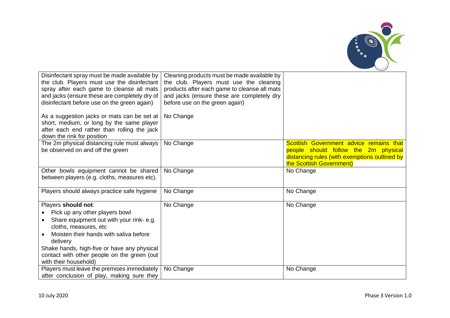

| Disinfectant spray must be made available by<br>the club. Players must use the disinfectant<br>spray after each game to cleanse all mats<br>and jacks (ensure these are completely dry of<br>disinfectant before use on the green again)                                                               | Cleaning products must be made available by<br>the club. Players must use the cleaning<br>products after each game to cleanse all mats<br>and jacks (ensure these are completely dry<br>before use on the green again) |                                                                                                                                                              |
|--------------------------------------------------------------------------------------------------------------------------------------------------------------------------------------------------------------------------------------------------------------------------------------------------------|------------------------------------------------------------------------------------------------------------------------------------------------------------------------------------------------------------------------|--------------------------------------------------------------------------------------------------------------------------------------------------------------|
| As a suggestion jacks or mats can be set at<br>short, medium, or long by the same player<br>after each end rather than rolling the jack<br>down the rink for position                                                                                                                                  | No Change                                                                                                                                                                                                              |                                                                                                                                                              |
| The 2m physical distancing rule must always<br>be observed on and off the green                                                                                                                                                                                                                        | No Change                                                                                                                                                                                                              | Scottish Government advice remains that<br>people should follow the 2m physical<br>distancing rules (with exemptions outlined by<br>the Scottish Government) |
| Other bowls equipment cannot be shared<br>between players (e.g. cloths, measures etc).                                                                                                                                                                                                                 | No Change                                                                                                                                                                                                              | No Change                                                                                                                                                    |
| Players should always practice safe hygiene                                                                                                                                                                                                                                                            | No Change                                                                                                                                                                                                              | No Change                                                                                                                                                    |
| Players should not:<br>Pick up any other players bowl<br>Share equipment out with your rink-e.g.<br>cloths, measures, etc<br>Moisten their hands with saliva before<br>delivery<br>Shake hands, high-five or have any physical<br>contact with other people on the green (out<br>with their household) | No Change                                                                                                                                                                                                              | No Change                                                                                                                                                    |
| Players must leave the premises immediately<br>after conclusion of play, making sure they                                                                                                                                                                                                              | No Change                                                                                                                                                                                                              | No Change                                                                                                                                                    |